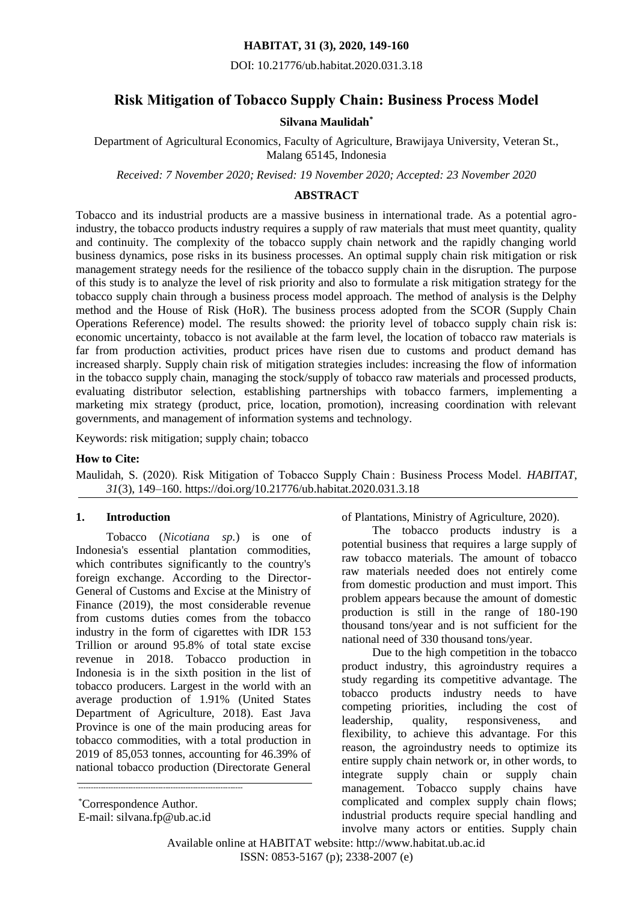### **HABITAT, 31 (3), 2020, 149-160**

DOI: 10.21776/ub.habitat.2020.031.3.18

# **Risk Mitigation of Tobacco Supply Chain: Business Process Model**

#### **Silvana Maulidah\***

Department of Agricultural Economics, Faculty of Agriculture, Brawijaya University, Veteran St., Malang 65145, Indonesia

*Received: 7 November 2020; Revised: 19 November 2020; Accepted: 23 November 2020*

### **ABSTRACT**

Tobacco and its industrial products are a massive business in international trade. As a potential agroindustry, the tobacco products industry requires a supply of raw materials that must meet quantity, quality and continuity. The complexity of the tobacco supply chain network and the rapidly changing world business dynamics, pose risks in its business processes. An optimal supply chain risk mitigation or risk management strategy needs for the resilience of the tobacco supply chain in the disruption. The purpose of this study is to analyze the level of risk priority and also to formulate a risk mitigation strategy for the tobacco supply chain through a business process model approach. The method of analysis is the Delphy method and the House of Risk (HoR). The business process adopted from the SCOR (Supply Chain Operations Reference) model. The results showed: the priority level of tobacco supply chain risk is: economic uncertainty, tobacco is not available at the farm level, the location of tobacco raw materials is far from production activities, product prices have risen due to customs and product demand has increased sharply. Supply chain risk of mitigation strategies includes: increasing the flow of information in the tobacco supply chain, managing the stock/supply of tobacco raw materials and processed products, evaluating distributor selection, establishing partnerships with tobacco farmers, implementing a marketing mix strategy (product, price, location, promotion), increasing coordination with relevant governments, and management of information systems and technology.

Keywords: risk mitigation; supply chain; tobacco

#### **How to Cite:**

Maulidah, S. (2020). Risk Mitigation of Tobacco Supply Chain : Business Process Model. *HABITAT*, *31*(3), 149–160. https://doi.org/10.21776/ub.habitat.2020.031.3.18

#### **1. Introduction**

Tobacco (*Nicotiana sp.*) is one of Indonesia's essential plantation commodities, which contributes significantly to the country's foreign exchange. According to the Director-General of Customs and Excise at the Ministry of Finance (2019), the most considerable revenue from customs duties comes from the tobacco industry in the form of cigarettes with IDR 153 Trillion or around 95.8% of total state excise revenue in 2018. Tobacco production in Indonesia is in the sixth position in the list of tobacco producers. Largest in the world with an average production of 1.91% (United States Department of Agriculture, 2018). East Java Province is one of the main producing areas for tobacco commodities, with a total production in 2019 of 85,053 tonnes, accounting for 46.39% of national tobacco production (Directorate General

------------------------------------------------------------------

of Plantations, Ministry of Agriculture, 2020).

The tobacco products industry is a potential business that requires a large supply of raw tobacco materials. The amount of tobacco raw materials needed does not entirely come from domestic production and must import. This problem appears because the amount of domestic production is still in the range of 180-190 thousand tons/year and is not sufficient for the national need of 330 thousand tons/year.

Due to the high competition in the tobacco product industry, this agroindustry requires a study regarding its competitive advantage. The tobacco products industry needs to have competing priorities, including the cost of leadership, quality, responsiveness, and flexibility, to achieve this advantage. For this reason, the agroindustry needs to optimize its entire supply chain network or, in other words, to integrate supply chain or supply chain management. Tobacco supply chains have complicated and complex supply chain flows; industrial products require special handling and involve many actors or entities. Supply chain

<sup>\*</sup>Correspondence Author.

E-mail: [silvana.fp@ub.ac.id](mailto:silvana.fp@ub.ac.id)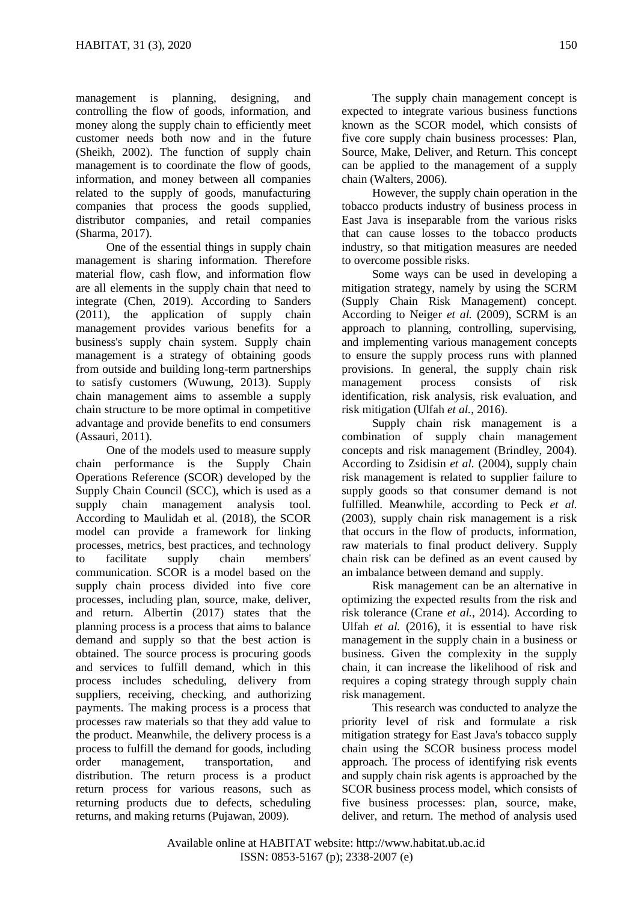management is planning, designing, and controlling the flow of goods, information, and money along the supply chain to efficiently meet customer needs both now and in the future (Sheikh, 2002). The function of supply chain management is to coordinate the flow of goods, information, and money between all companies related to the supply of goods, manufacturing companies that process the goods supplied, distributor companies, and retail companies (Sharma, 2017).

One of the essential things in supply chain management is sharing information. Therefore material flow, cash flow, and information flow are all elements in the supply chain that need to integrate (Chen, 2019). According to Sanders (2011), the application of supply chain management provides various benefits for a business's supply chain system. Supply chain management is a strategy of obtaining goods from outside and building long-term partnerships to satisfy customers (Wuwung, 2013). Supply chain management aims to assemble a supply chain structure to be more optimal in competitive advantage and provide benefits to end consumers (Assauri, 2011).

One of the models used to measure supply chain performance is the Supply Chain Operations Reference (SCOR) developed by the Supply Chain Council (SCC), which is used as a supply chain management analysis tool. According to Maulidah et al. (2018), the SCOR model can provide a framework for linking processes, metrics, best practices, and technology to facilitate supply chain members' communication. SCOR is a model based on the supply chain process divided into five core processes, including plan, source, make, deliver, and return. Albertin (2017) states that the planning process is a process that aims to balance demand and supply so that the best action is obtained. The source process is procuring goods and services to fulfill demand, which in this process includes scheduling, delivery from suppliers, receiving, checking, and authorizing payments. The making process is a process that processes raw materials so that they add value to the product. Meanwhile, the delivery process is a process to fulfill the demand for goods, including order management, transportation, and distribution. The return process is a product return process for various reasons, such as returning products due to defects, scheduling returns, and making returns (Pujawan, 2009).

The supply chain management concept is expected to integrate various business functions known as the SCOR model, which consists of five core supply chain business processes: Plan, Source, Make, Deliver, and Return. This concept can be applied to the management of a supply chain (Walters, 2006).

However, the supply chain operation in the tobacco products industry of business process in East Java is inseparable from the various risks that can cause losses to the tobacco products industry, so that mitigation measures are needed to overcome possible risks.

Some ways can be used in developing a mitigation strategy, namely by using the SCRM (Supply Chain Risk Management) concept. According to Neiger *et al.* (2009), SCRM is an approach to planning, controlling, supervising, and implementing various management concepts to ensure the supply process runs with planned provisions. In general, the supply chain risk management process consists of risk identification, risk analysis, risk evaluation, and risk mitigation (Ulfah *et al.*, 2016).

Supply chain risk management is a combination of supply chain management concepts and risk management (Brindley, 2004). According to Zsidisin *et al.* (2004), supply chain risk management is related to supplier failure to supply goods so that consumer demand is not fulfilled. Meanwhile, according to Peck *et al.* (2003), supply chain risk management is a risk that occurs in the flow of products, information, raw materials to final product delivery. Supply chain risk can be defined as an event caused by an imbalance between demand and supply.

Risk management can be an alternative in optimizing the expected results from the risk and risk tolerance (Crane *et al.*, 2014). According to Ulfah *et al.* (2016), it is essential to have risk management in the supply chain in a business or business. Given the complexity in the supply chain, it can increase the likelihood of risk and requires a coping strategy through supply chain risk management.

This research was conducted to analyze the priority level of risk and formulate a risk mitigation strategy for East Java's tobacco supply chain using the SCOR business process model approach. The process of identifying risk events and supply chain risk agents is approached by the SCOR business process model, which consists of five business processes: plan, source, make, deliver, and return. The method of analysis used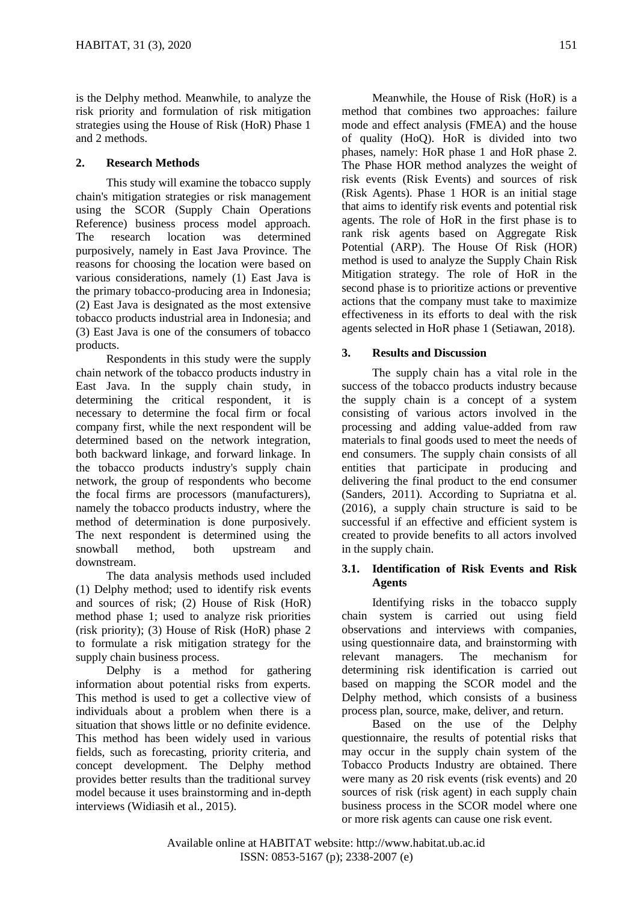is the Delphy method. Meanwhile, to analyze the risk priority and formulation of risk mitigation strategies using the House of Risk (HoR) Phase 1 and 2 methods.

## **2. Research Methods**

This study will examine the tobacco supply chain's mitigation strategies or risk management using the SCOR (Supply Chain Operations Reference) business process model approach. The research location was determined purposively, namely in East Java Province. The reasons for choosing the location were based on various considerations, namely (1) East Java is the primary tobacco-producing area in Indonesia; (2) East Java is designated as the most extensive tobacco products industrial area in Indonesia; and (3) East Java is one of the consumers of tobacco products.

Respondents in this study were the supply chain network of the tobacco products industry in East Java. In the supply chain study, in determining the critical respondent, it is necessary to determine the focal firm or focal company first, while the next respondent will be determined based on the network integration, both backward linkage, and forward linkage. In the tobacco products industry's supply chain network, the group of respondents who become the focal firms are processors (manufacturers), namely the tobacco products industry, where the method of determination is done purposively. The next respondent is determined using the snowball method, both upstream and downstream.

The data analysis methods used included (1) Delphy method; used to identify risk events and sources of risk; (2) House of Risk (HoR) method phase 1; used to analyze risk priorities (risk priority); (3) House of Risk (HoR) phase 2 to formulate a risk mitigation strategy for the supply chain business process.

Delphy is a method for gathering information about potential risks from experts. This method is used to get a collective view of individuals about a problem when there is a situation that shows little or no definite evidence. This method has been widely used in various fields, such as forecasting, priority criteria, and concept development. The Delphy method provides better results than the traditional survey model because it uses brainstorming and in-depth interviews (Widiasih et al., 2015).

Meanwhile, the House of Risk (HoR) is a method that combines two approaches: failure mode and effect analysis (FMEA) and the house of quality (HoQ). HoR is divided into two phases, namely: HoR phase 1 and HoR phase 2. The Phase HOR method analyzes the weight of risk events (Risk Events) and sources of risk (Risk Agents). Phase 1 HOR is an initial stage that aims to identify risk events and potential risk agents. The role of HoR in the first phase is to rank risk agents based on Aggregate Risk Potential (ARP). The House Of Risk (HOR) method is used to analyze the Supply Chain Risk Mitigation strategy. The role of HoR in the second phase is to prioritize actions or preventive actions that the company must take to maximize effectiveness in its efforts to deal with the risk agents selected in HoR phase 1 (Setiawan, 2018).

## **3. Results and Discussion**

The supply chain has a vital role in the success of the tobacco products industry because the supply chain is a concept of a system consisting of various actors involved in the processing and adding value-added from raw materials to final goods used to meet the needs of end consumers. The supply chain consists of all entities that participate in producing and delivering the final product to the end consumer (Sanders, 2011). According to Supriatna et al. (2016), a supply chain structure is said to be successful if an effective and efficient system is created to provide benefits to all actors involved in the supply chain.

## **3.1. Identification of Risk Events and Risk Agents**

Identifying risks in the tobacco supply chain system is carried out using field observations and interviews with companies, using questionnaire data, and brainstorming with relevant managers. The mechanism for determining risk identification is carried out based on mapping the SCOR model and the Delphy method, which consists of a business process plan, source, make, deliver, and return.

Based on the use of the Delphy questionnaire, the results of potential risks that may occur in the supply chain system of the Tobacco Products Industry are obtained. There were many as 20 risk events (risk events) and 20 sources of risk (risk agent) in each supply chain business process in the SCOR model where one or more risk agents can cause one risk event.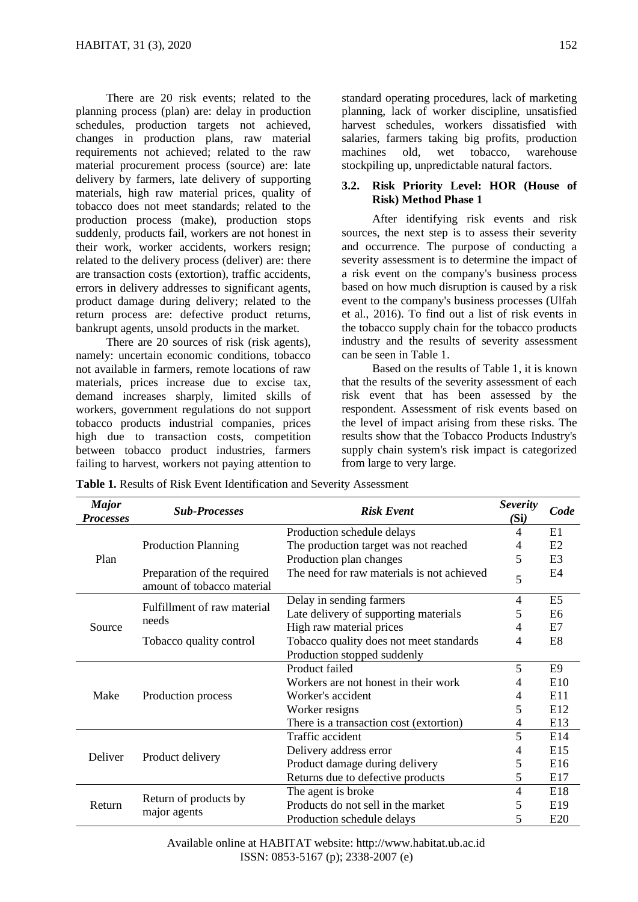There are 20 risk events; related to the planning process (plan) are: delay in production schedules, production targets not achieved, changes in production plans, raw material requirements not achieved; related to the raw material procurement process (source) are: late delivery by farmers, late delivery of supporting materials, high raw material prices, quality of tobacco does not meet standards; related to the production process (make), production stops suddenly, products fail, workers are not honest in their work, worker accidents, workers resign; related to the delivery process (deliver) are: there are transaction costs (extortion), traffic accidents, errors in delivery addresses to significant agents, product damage during delivery; related to the return process are: defective product returns, bankrupt agents, unsold products in the market.

There are 20 sources of risk (risk agents). namely: uncertain economic conditions, tobacco not available in farmers, remote locations of raw materials, prices increase due to excise tax, demand increases sharply, limited skills of workers, government regulations do not support tobacco products industrial companies, prices high due to transaction costs, competition between tobacco product industries, farmers failing to harvest, workers not paying attention to

standard operating procedures, lack of marketing planning, lack of worker discipline, unsatisfied harvest schedules, workers dissatisfied with salaries, farmers taking big profits, production machines old, wet tobacco, warehouse stockpiling up, unpredictable natural factors.

### **3.2. Risk Priority Level: HOR (House of Risk) Method Phase 1**

After identifying risk events and risk sources, the next step is to assess their severity and occurrence. The purpose of conducting a severity assessment is to determine the impact of a risk event on the company's business process based on how much disruption is caused by a risk event to the company's business processes (Ulfah et al., 2016). To find out a list of risk events in the tobacco supply chain for the tobacco products industry and the results of severity assessment can be seen in Table 1.

Based on the results of Table 1, it is known that the results of the severity assessment of each risk event that has been assessed by the respondent. Assessment of risk events based on the level of impact arising from these risks. The results show that the Tobacco Products Industry's supply chain system's risk impact is categorized from large to very large.

| <b>Table 1.</b> Results of Risk Event Identification and Severity Assessment |  |
|------------------------------------------------------------------------------|--|
|------------------------------------------------------------------------------|--|

| <b>Major</b><br><b>Processes</b> | <b>Sub-Processes</b>                                      | <b>Risk Event</b>                          | <b>Severity</b><br>(Si) | Code            |
|----------------------------------|-----------------------------------------------------------|--------------------------------------------|-------------------------|-----------------|
| Plan                             |                                                           | Production schedule delays                 | 4                       | E1              |
|                                  | <b>Production Planning</b>                                | The production target was not reached      | 4                       | E <sub>2</sub>  |
|                                  |                                                           | Production plan changes                    | 5                       | E3              |
|                                  | Preparation of the required<br>amount of tobacco material | The need for raw materials is not achieved | 5                       | E4              |
| Source                           | Fulfillment of raw material<br>needs                      | Delay in sending farmers                   | 4                       | E <sub>5</sub>  |
|                                  |                                                           | Late delivery of supporting materials      | 5                       | E6              |
|                                  |                                                           | High raw material prices                   | 4                       | E7              |
|                                  | Tobacco quality control                                   | Tobacco quality does not meet standards    | 4                       | E <sub>8</sub>  |
|                                  |                                                           | Production stopped suddenly                |                         |                 |
| Make                             | Production process                                        | Product failed                             | 5                       | E <sub>9</sub>  |
|                                  |                                                           | Workers are not honest in their work       | 4                       | E10             |
|                                  |                                                           | Worker's accident                          | 4                       | E11             |
|                                  |                                                           | Worker resigns                             | 5                       | E <sub>12</sub> |
|                                  |                                                           | There is a transaction cost (extortion)    | 4                       | E13             |
| Deliver                          |                                                           | Traffic accident                           | 5                       | E14             |
|                                  | Product delivery                                          | Delivery address error                     | 4                       | E15             |
|                                  |                                                           | Product damage during delivery             | 5                       | E16             |
|                                  |                                                           | Returns due to defective products          | 5                       | E17             |
| Return                           | Return of products by                                     | The agent is broke                         | 4                       | E18             |
|                                  |                                                           | Products do not sell in the market         | 5                       | E19             |
|                                  | major agents                                              | Production schedule delays                 | 5                       | E20             |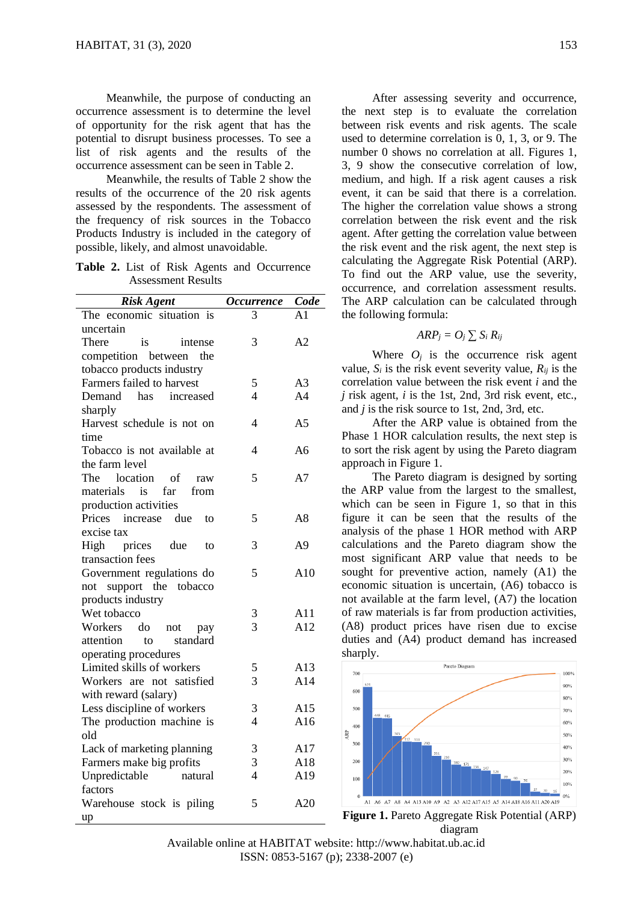Meanwhile, the purpose of conducting an occurrence assessment is to determine the level of opportunity for the risk agent that has the potential to disrupt business processes. To see a list of risk agents and the results of the occurrence assessment can be seen in Table 2.

Meanwhile, the results of Table 2 show the results of the occurrence of the 20 risk agents assessed by the respondents. The assessment of the frequency of risk sources in the Tobacco Products Industry is included in the category of possible, likely, and almost unavoidable.

**Table 2.** List of Risk Agents and Occurrence Assessment Results

| <b>Risk Agent</b>                                       | <b>Occurrence</b>        | Code           |
|---------------------------------------------------------|--------------------------|----------------|
| The economic situation is                               | 3                        | A1             |
| uncertain                                               |                          |                |
| is<br>There<br>intense                                  | 3                        | A <sub>2</sub> |
| competition between the                                 |                          |                |
| tobacco products industry                               |                          |                |
| Farmers failed to harvest                               | 5                        | A <sub>3</sub> |
| Demand<br>has<br>increased                              | $\overline{\mathcal{L}}$ | A <sub>4</sub> |
| sharply                                                 |                          |                |
| Harvest schedule is not on                              | 4                        | A <sub>5</sub> |
| time                                                    |                          |                |
| Tobacco is not available at                             | 4                        | A <sub>6</sub> |
| the farm level                                          |                          |                |
| The<br>location<br>- of<br>raw                          | 5                        | A7             |
| materials<br>$\overline{\phantom{a}}$ is<br>far<br>from |                          |                |
| production activities                                   |                          |                |
| Prices increase due<br>to                               | 5                        | A8             |
| excise tax                                              |                          |                |
| prices<br>High<br>due<br>to                             | 3                        | A <sub>9</sub> |
| transaction fees                                        |                          |                |
| Government regulations do                               | 5                        | A10            |
| not support the<br>tobacco                              |                          |                |
| products industry                                       |                          |                |
| Wet tobacco                                             | 3                        | A11            |
| Workers<br>do<br>not<br>pay                             | 3                        | A12            |
| attention<br>standard<br>to                             |                          |                |
| operating procedures                                    |                          |                |
| Limited skills of workers                               | 5                        | A13            |
| Workers are not satisfied                               | 3                        | A14            |
| with reward (salary)                                    |                          |                |
| Less discipline of workers                              | 3                        | A15            |
| The production machine is                               | $\overline{\mathcal{L}}$ | A16            |
| old                                                     |                          |                |
| Lack of marketing planning                              | 3                        | A17            |
| Farmers make big profits                                | 3                        | A18            |
| Unpredictable<br>natural                                | $\overline{4}$           | A19            |
| factors                                                 |                          |                |
| Warehouse stock is piling                               | 5                        | A20            |
| up                                                      |                          |                |

After assessing severity and occurrence, the next step is to evaluate the correlation between risk events and risk agents. The scale used to determine correlation is 0, 1, 3, or 9. The number 0 shows no correlation at all. Figures 1, 3, 9 show the consecutive correlation of low, medium, and high. If a risk agent causes a risk event, it can be said that there is a correlation. The higher the correlation value shows a strong correlation between the risk event and the risk agent. After getting the correlation value between the risk event and the risk agent, the next step is calculating the Aggregate Risk Potential (ARP). To find out the ARP value, use the severity, occurrence, and correlation assessment results. The ARP calculation can be calculated through the following formula:

## $ARP_i = O_i \sum S_i R_{ii}$

Where  $O_i$  is the occurrence risk agent value,  $S_i$  is the risk event severity value,  $R_{ij}$  is the correlation value between the risk event *i* and the *j* risk agent, *i* is the 1st, 2nd, 3rd risk event, etc., and *j* is the risk source to 1st, 2nd, 3rd, etc.

After the ARP value is obtained from the Phase 1 HOR calculation results, the next step is to sort the risk agent by using the Pareto diagram approach in Figure 1.

The Pareto diagram is designed by sorting the ARP value from the largest to the smallest, which can be seen in Figure 1, so that in this figure it can be seen that the results of the analysis of the phase 1 HOR method with ARP calculations and the Pareto diagram show the most significant ARP value that needs to be sought for preventive action, namely (A1) the economic situation is uncertain, (A6) tobacco is not available at the farm level, (A7) the location of raw materials is far from production activities, (A8) product prices have risen due to excise duties and (A4) product demand has increased sharply.



**Figure 1.** Pareto Aggregate Risk Potential (ARP) diagram

Available online at HABITAT website: http://www.habitat.ub.ac.id ISSN: 0853-5167 (p); 2338-2007 (e)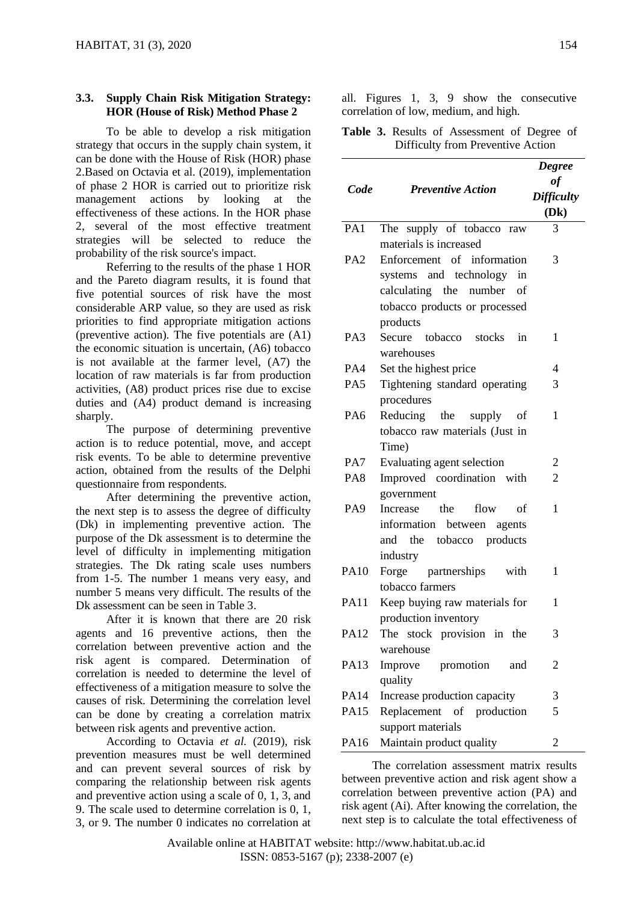### **3.3. Supply Chain Risk Mitigation Strategy: HOR (House of Risk) Method Phase 2**

To be able to develop a risk mitigation strategy that occurs in the supply chain system, it can be done with the House of Risk (HOR) phase 2.Based on Octavia et al. (2019), implementation of phase 2 HOR is carried out to prioritize risk management actions by looking at the effectiveness of these actions. In the HOR phase 2, several of the most effective treatment strategies will be selected to reduce the probability of the risk source's impact.

Referring to the results of the phase 1 HOR and the Pareto diagram results, it is found that five potential sources of risk have the most considerable ARP value, so they are used as risk priorities to find appropriate mitigation actions (preventive action). The five potentials are (A1) the economic situation is uncertain, (A6) tobacco is not available at the farmer level, (A7) the location of raw materials is far from production activities, (A8) product prices rise due to excise duties and (A4) product demand is increasing sharply.

The purpose of determining preventive action is to reduce potential, move, and accept risk events. To be able to determine preventive action, obtained from the results of the Delphi questionnaire from respondents.

After determining the preventive action, the next step is to assess the degree of difficulty (Dk) in implementing preventive action. The purpose of the Dk assessment is to determine the level of difficulty in implementing mitigation strategies. The Dk rating scale uses numbers from 1-5. The number 1 means very easy, and number 5 means very difficult. The results of the Dk assessment can be seen in Table 3.

After it is known that there are 20 risk agents and 16 preventive actions, then the correlation between preventive action and the risk agent is compared. Determination of correlation is needed to determine the level of effectiveness of a mitigation measure to solve the causes of risk. Determining the correlation level can be done by creating a correlation matrix between risk agents and preventive action.

According to Octavia *et al.* (2019), risk prevention measures must be well determined and can prevent several sources of risk by comparing the relationship between risk agents and preventive action using a scale of 0, 1, 3, and 9. The scale used to determine correlation is 0, 1, 3, or 9. The number 0 indicates no correlation at

all. Figures 1, 3, 9 show the consecutive correlation of low, medium, and high.

**Table 3.** Results of Assessment of Degree of Difficulty from Preventive Action

| Code            | <b>Preventive Action</b>       | <b>Degree</b><br>of<br><b>Difficulty</b><br>(Dk) |
|-----------------|--------------------------------|--------------------------------------------------|
| PA1             | The supply of tobacco raw      | 3                                                |
|                 | materials is increased         |                                                  |
| PA <sub>2</sub> | Enforcement of information     | 3                                                |
|                 | systems and technology<br>in   |                                                  |
|                 | calculating the number of      |                                                  |
|                 | tobacco products or processed  |                                                  |
|                 | products                       |                                                  |
| PA3             | Secure tobacco stocks<br>in    | 1                                                |
|                 | warehouses                     |                                                  |
| PA4             | Set the highest price          | 4                                                |
| PA5             | Tightening standard operating  | 3                                                |
|                 | procedures                     |                                                  |
| PA6             | Reducing the supply<br>of      | 1                                                |
|                 | tobacco raw materials (Just in |                                                  |
|                 | Time)                          |                                                  |
| PA7             | Evaluating agent selection     | 2                                                |
| PA <sub>8</sub> | Improved coordination with     | $\overline{2}$                                   |
|                 | government                     |                                                  |
| PA <sub>9</sub> | the<br>flow<br>Increase<br>οf  | 1                                                |
|                 | information between agents     |                                                  |
|                 | and the tobacco products       |                                                  |
|                 | industry                       |                                                  |
| PA10            | Forge partnerships<br>with     | 1                                                |
|                 | tobacco farmers                |                                                  |
| PA11            | Keep buying raw materials for  | 1                                                |
|                 | production inventory           |                                                  |
| PA12            | The stock provision in the     | 3                                                |
|                 | warehouse                      |                                                  |
| PA13            | Improve<br>promotion<br>and    | 2                                                |
|                 | quality                        |                                                  |
| PA14            | Increase production capacity   | 3                                                |
| PA15            | Replacement of production      | 5                                                |
|                 | support materials              |                                                  |
| PA16            | Maintain product quality       | 2                                                |
|                 |                                |                                                  |

The correlation assessment matrix results between preventive action and risk agent show a correlation between preventive action (PA) and risk agent (Ai). After knowing the correlation, the next step is to calculate the total effectiveness of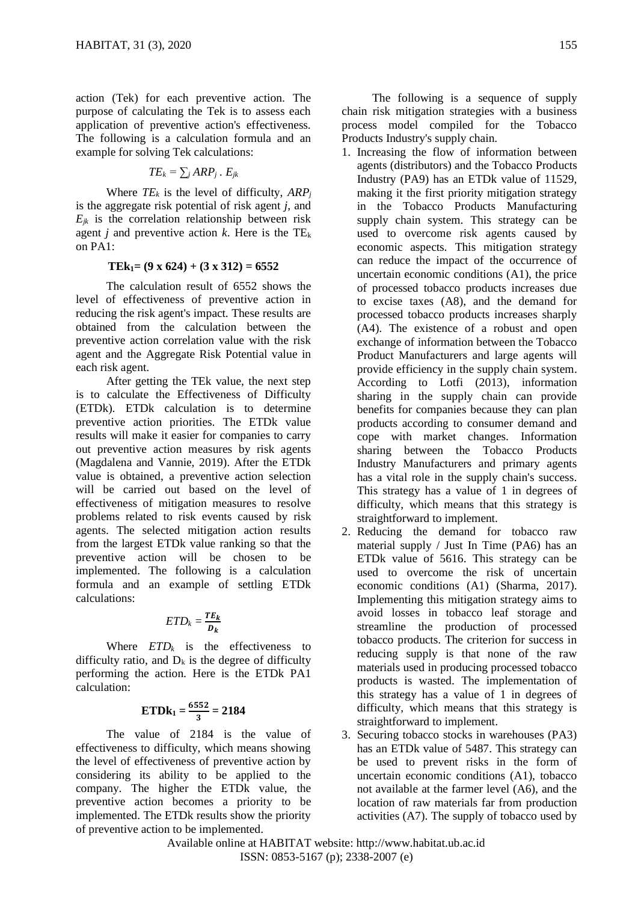action (Tek) for each preventive action. The purpose of calculating the Tek is to assess each application of preventive action's effectiveness. The following is a calculation formula and an example for solving Tek calculations:

$$
TE_k = \sum_j ARP_j \cdot E_{jk}
$$

Where  $TE_k$  is the level of difficulty,  $ARP_i$ is the aggregate risk potential of risk agent *j*, and  $E_{ik}$  is the correlation relationship between risk agent *j* and preventive action *k*. Here is the  $TE_k$ on PA1:

#### $TEk<sub>1</sub> = (9 \times 624) + (3 \times 312) = 6552$

The calculation result of 6552 shows the level of effectiveness of preventive action in reducing the risk agent's impact. These results are obtained from the calculation between the preventive action correlation value with the risk agent and the Aggregate Risk Potential value in each risk agent.

After getting the TEk value, the next step is to calculate the Effectiveness of Difficulty (ETDk). ETDk calculation is to determine preventive action priorities. The ETDk value results will make it easier for companies to carry out preventive action measures by risk agents (Magdalena and Vannie, 2019). After the ETDk value is obtained, a preventive action selection will be carried out based on the level of effectiveness of mitigation measures to resolve problems related to risk events caused by risk agents. The selected mitigation action results from the largest ETDk value ranking so that the preventive action will be chosen to be implemented. The following is a calculation formula and an example of settling ETDk calculations:

$$
ETD_k = \frac{TE_k}{D_k}
$$

Where  $ETD_k$  is the effectiveness to difficulty ratio, and  $D_k$  is the degree of difficulty performing the action. Here is the ETDk PA1 calculation:

$$
ETDk_1 = \frac{6552}{3} = 2184
$$

The value of 2184 is the value of effectiveness to difficulty, which means showing the level of effectiveness of preventive action by considering its ability to be applied to the company. The higher the ETDk value, the preventive action becomes a priority to be implemented. The ETDk results show the priority of preventive action to be implemented.

The following is a sequence of supply chain risk mitigation strategies with a business process model compiled for the Tobacco Products Industry's supply chain.

- 1. Increasing the flow of information between agents (distributors) and the Tobacco Products Industry (PA9) has an ETDk value of 11529, making it the first priority mitigation strategy in the Tobacco Products Manufacturing supply chain system. This strategy can be used to overcome risk agents caused by economic aspects. This mitigation strategy can reduce the impact of the occurrence of uncertain economic conditions (A1), the price of processed tobacco products increases due to excise taxes (A8), and the demand for processed tobacco products increases sharply (A4). The existence of a robust and open exchange of information between the Tobacco Product Manufacturers and large agents will provide efficiency in the supply chain system. According to Lotfi (2013), information sharing in the supply chain can provide benefits for companies because they can plan products according to consumer demand and cope with market changes. Information sharing between the Tobacco Products Industry Manufacturers and primary agents has a vital role in the supply chain's success. This strategy has a value of 1 in degrees of difficulty, which means that this strategy is straightforward to implement.
- 2. Reducing the demand for tobacco raw material supply / Just In Time (PA6) has an ETDk value of 5616. This strategy can be used to overcome the risk of uncertain economic conditions (A1) (Sharma, 2017). Implementing this mitigation strategy aims to avoid losses in tobacco leaf storage and streamline the production of processed tobacco products. The criterion for success in reducing supply is that none of the raw materials used in producing processed tobacco products is wasted. The implementation of this strategy has a value of 1 in degrees of difficulty, which means that this strategy is straightforward to implement.
- 3. Securing tobacco stocks in warehouses (PA3) has an ETDk value of 5487. This strategy can be used to prevent risks in the form of uncertain economic conditions (A1), tobacco not available at the farmer level (A6), and the location of raw materials far from production activities (A7). The supply of tobacco used by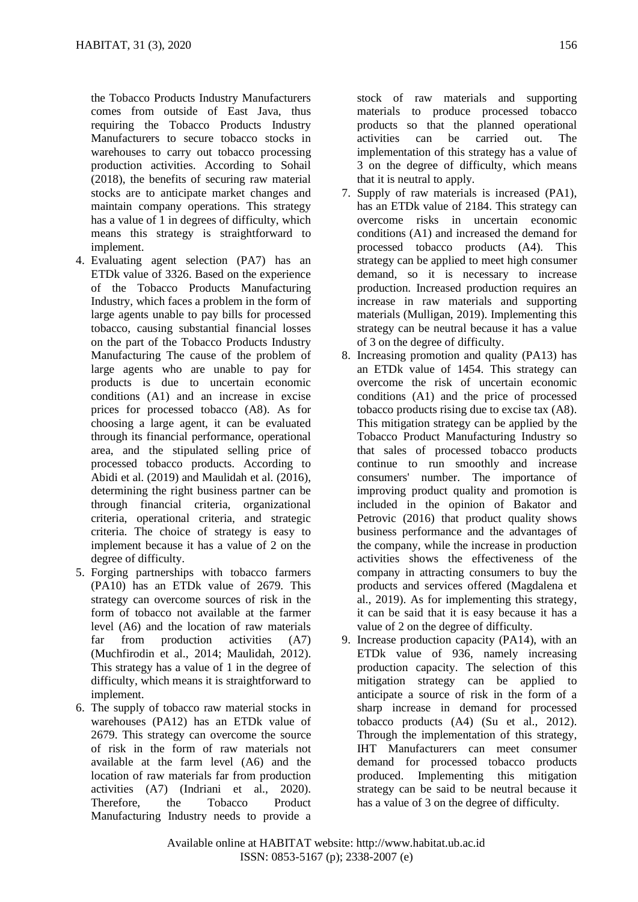the Tobacco Products Industry Manufacturers comes from outside of East Java, thus requiring the Tobacco Products Industry Manufacturers to secure tobacco stocks in warehouses to carry out tobacco processing production activities. According to Sohail (2018), the benefits of securing raw material stocks are to anticipate market changes and maintain company operations. This strategy has a value of 1 in degrees of difficulty, which means this strategy is straightforward to implement.

- 4. Evaluating agent selection (PA7) has an ETDk value of 3326. Based on the experience of the Tobacco Products Manufacturing Industry, which faces a problem in the form of large agents unable to pay bills for processed tobacco, causing substantial financial losses on the part of the Tobacco Products Industry Manufacturing The cause of the problem of large agents who are unable to pay for products is due to uncertain economic conditions (A1) and an increase in excise prices for processed tobacco (A8). As for choosing a large agent, it can be evaluated through its financial performance, operational area, and the stipulated selling price of processed tobacco products. According to Abidi et al. (2019) and Maulidah et al. (2016), determining the right business partner can be through financial criteria, organizational criteria, operational criteria, and strategic criteria. The choice of strategy is easy to implement because it has a value of 2 on the degree of difficulty.
- 5. Forging partnerships with tobacco farmers (PA10) has an ETDk value of 2679. This strategy can overcome sources of risk in the form of tobacco not available at the farmer level (A6) and the location of raw materials far from production activities (A7) (Muchfirodin et al., 2014; Maulidah, 2012). This strategy has a value of 1 in the degree of difficulty, which means it is straightforward to implement.
- 6. The supply of tobacco raw material stocks in warehouses (PA12) has an ETDk value of 2679. This strategy can overcome the source of risk in the form of raw materials not available at the farm level (A6) and the location of raw materials far from production activities (A7) (Indriani et al., 2020). Therefore, the Tobacco Product Manufacturing Industry needs to provide a

stock of raw materials and supporting materials to produce processed tobacco products so that the planned operational activities can be carried out. The implementation of this strategy has a value of 3 on the degree of difficulty, which means that it is neutral to apply.

- 7. Supply of raw materials is increased (PA1), has an ETDk value of 2184. This strategy can overcome risks in uncertain economic conditions (A1) and increased the demand for processed tobacco products (A4). This strategy can be applied to meet high consumer demand, so it is necessary to increase production. Increased production requires an increase in raw materials and supporting materials (Mulligan, 2019). Implementing this strategy can be neutral because it has a value of 3 on the degree of difficulty.
- 8. Increasing promotion and quality (PA13) has an ETDk value of 1454. This strategy can overcome the risk of uncertain economic conditions (A1) and the price of processed tobacco products rising due to excise tax (A8). This mitigation strategy can be applied by the Tobacco Product Manufacturing Industry so that sales of processed tobacco products continue to run smoothly and increase consumers' number. The importance of improving product quality and promotion is included in the opinion of Bakator and Petrovic (2016) that product quality shows business performance and the advantages of the company, while the increase in production activities shows the effectiveness of the company in attracting consumers to buy the products and services offered (Magdalena et al., 2019). As for implementing this strategy, it can be said that it is easy because it has a value of 2 on the degree of difficulty.
- 9. Increase production capacity (PA14), with an ETDk value of 936, namely increasing production capacity. The selection of this mitigation strategy can be applied to anticipate a source of risk in the form of a sharp increase in demand for processed tobacco products (A4) (Su et al., 2012). Through the implementation of this strategy, IHT Manufacturers can meet consumer demand for processed tobacco products produced. Implementing this mitigation strategy can be said to be neutral because it has a value of 3 on the degree of difficulty.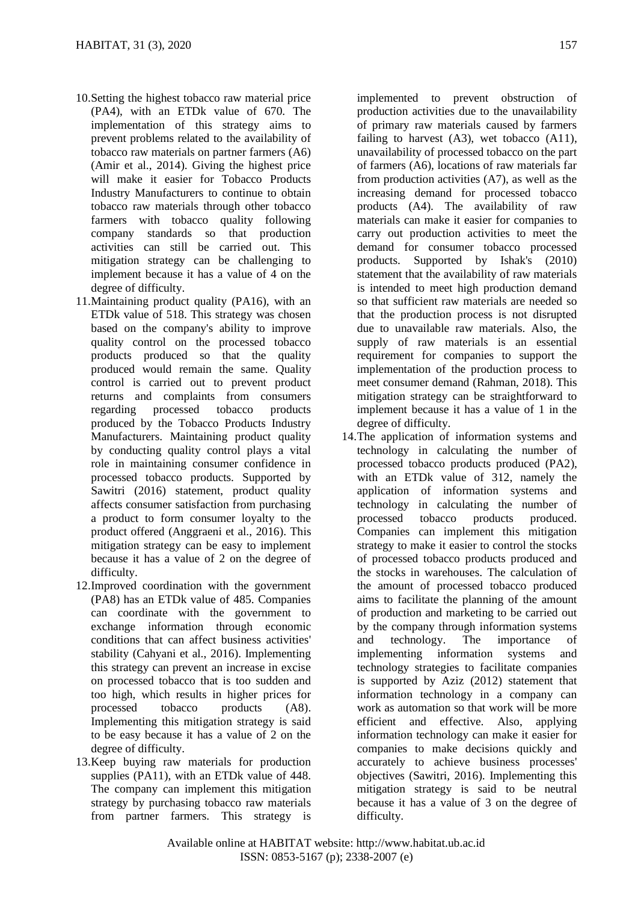- 10.Setting the highest tobacco raw material price (PA4), with an ETDk value of 670. The implementation of this strategy aims to prevent problems related to the availability of tobacco raw materials on partner farmers (A6) (Amir et al., 2014). Giving the highest price will make it easier for Tobacco Products Industry Manufacturers to continue to obtain tobacco raw materials through other tobacco farmers with tobacco quality following company standards so that production activities can still be carried out. This mitigation strategy can be challenging to implement because it has a value of 4 on the degree of difficulty.
- 11.Maintaining product quality (PA16), with an ETDk value of 518. This strategy was chosen based on the company's ability to improve quality control on the processed tobacco products produced so that the quality produced would remain the same. Quality control is carried out to prevent product returns and complaints from consumers regarding processed tobacco products produced by the Tobacco Products Industry Manufacturers. Maintaining product quality by conducting quality control plays a vital role in maintaining consumer confidence in processed tobacco products. Supported by Sawitri (2016) statement, product quality affects consumer satisfaction from purchasing a product to form consumer loyalty to the product offered (Anggraeni et al., 2016). This mitigation strategy can be easy to implement because it has a value of 2 on the degree of difficulty.
- 12.Improved coordination with the government (PA8) has an ETDk value of 485. Companies can coordinate with the government to exchange information through economic conditions that can affect business activities' stability (Cahyani et al., 2016). Implementing this strategy can prevent an increase in excise on processed tobacco that is too sudden and too high, which results in higher prices for processed tobacco products (A8). Implementing this mitigation strategy is said to be easy because it has a value of 2 on the degree of difficulty.
- 13.Keep buying raw materials for production supplies (PA11), with an ETDk value of 448. The company can implement this mitigation strategy by purchasing tobacco raw materials from partner farmers. This strategy is

implemented to prevent obstruction of production activities due to the unavailability of primary raw materials caused by farmers failing to harvest  $(A3)$ , wet tobacco  $(A11)$ , unavailability of processed tobacco on the part of farmers (A6), locations of raw materials far from production activities (A7), as well as the increasing demand for processed tobacco products (A4). The availability of raw materials can make it easier for companies to carry out production activities to meet the demand for consumer tobacco processed products. Supported by Ishak's (2010) statement that the availability of raw materials is intended to meet high production demand so that sufficient raw materials are needed so that the production process is not disrupted due to unavailable raw materials. Also, the supply of raw materials is an essential requirement for companies to support the implementation of the production process to meet consumer demand (Rahman, 2018). This mitigation strategy can be straightforward to implement because it has a value of 1 in the degree of difficulty.

14.The application of information systems and technology in calculating the number of processed tobacco products produced (PA2), with an ETDk value of 312, namely the application of information systems and technology in calculating the number of processed tobacco products produced. Companies can implement this mitigation strategy to make it easier to control the stocks of processed tobacco products produced and the stocks in warehouses. The calculation of the amount of processed tobacco produced aims to facilitate the planning of the amount of production and marketing to be carried out by the company through information systems and technology. The importance of implementing information systems and technology strategies to facilitate companies is supported by Aziz (2012) statement that information technology in a company can work as automation so that work will be more efficient and effective. Also, applying information technology can make it easier for companies to make decisions quickly and accurately to achieve business processes' objectives (Sawitri, 2016). Implementing this mitigation strategy is said to be neutral because it has a value of 3 on the degree of difficulty.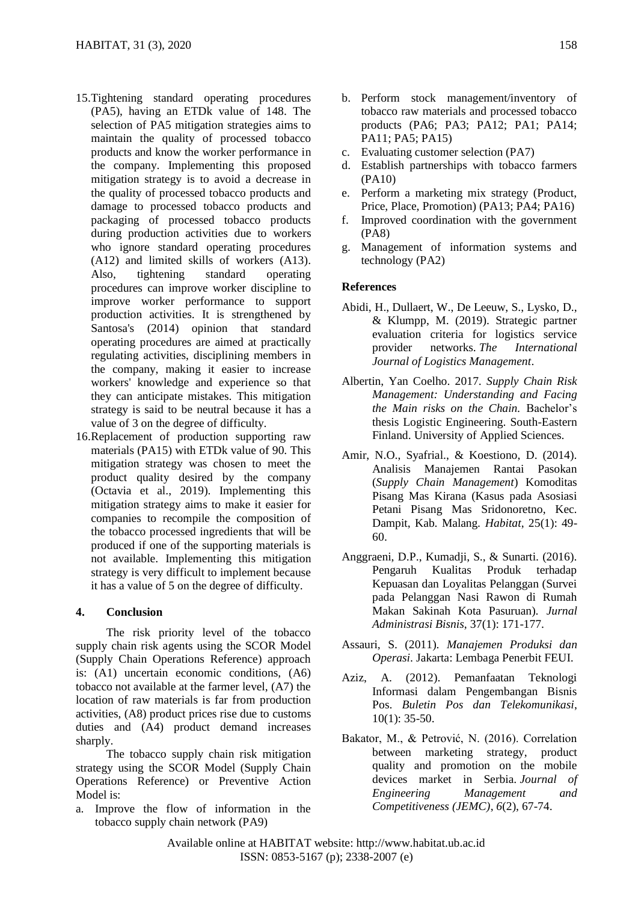- 15.Tightening standard operating procedures (PA5), having an ETDk value of 148. The selection of PA5 mitigation strategies aims to maintain the quality of processed tobacco products and know the worker performance in the company. Implementing this proposed mitigation strategy is to avoid a decrease in the quality of processed tobacco products and damage to processed tobacco products and packaging of processed tobacco products during production activities due to workers who ignore standard operating procedures (A12) and limited skills of workers (A13). Also, tightening standard operating procedures can improve worker discipline to improve worker performance to support production activities. It is strengthened by Santosa's (2014) opinion that standard operating procedures are aimed at practically regulating activities, disciplining members in the company, making it easier to increase workers' knowledge and experience so that they can anticipate mistakes. This mitigation strategy is said to be neutral because it has a value of 3 on the degree of difficulty.
- 16.Replacement of production supporting raw materials (PA15) with ETDk value of 90. This mitigation strategy was chosen to meet the product quality desired by the company (Octavia et al., 2019). Implementing this mitigation strategy aims to make it easier for companies to recompile the composition of the tobacco processed ingredients that will be produced if one of the supporting materials is not available. Implementing this mitigation strategy is very difficult to implement because it has a value of 5 on the degree of difficulty.

### **4. Conclusion**

The risk priority level of the tobacco supply chain risk agents using the SCOR Model (Supply Chain Operations Reference) approach is: (A1) uncertain economic conditions, (A6) tobacco not available at the farmer level, (A7) the location of raw materials is far from production activities, (A8) product prices rise due to customs duties and (A4) product demand increases sharply.

The tobacco supply chain risk mitigation strategy using the SCOR Model (Supply Chain Operations Reference) or Preventive Action Model is:

a. Improve the flow of information in the tobacco supply chain network (PA9)

- b. Perform stock management/inventory of tobacco raw materials and processed tobacco products (PA6; PA3; PA12; PA1; PA14; PA11; PA5; PA15)
- c. Evaluating customer selection (PA7)
- d. Establish partnerships with tobacco farmers (PA10)
- e. Perform a marketing mix strategy (Product, Price, Place, Promotion) (PA13; PA4; PA16)
- f. Improved coordination with the government (PA8)
- g. Management of information systems and technology (PA2)

### **References**

- Abidi, H., Dullaert, W., De Leeuw, S., Lysko, D., & Klumpp, M. (2019). Strategic partner evaluation criteria for logistics service provider networks. *The International Journal of Logistics Management*.
- Albertin, Yan Coelho. 2017. *Supply Chain Risk Management: Understanding and Facing the Main risks on the Chain.* Bachelor's thesis Logistic Engineering. South-Eastern Finland. University of Applied Sciences.
- Amir, N.O., Syafrial., & Koestiono, D. (2014). Analisis Manajemen Rantai Pasokan (*Supply Chain Management*) Komoditas Pisang Mas Kirana (Kasus pada Asosiasi Petani Pisang Mas Sridonoretno, Kec. Dampit, Kab. Malang. *Habitat*, 25(1): 49- 60.
- Anggraeni, D.P., Kumadji, S., & Sunarti. (2016). Pengaruh Kualitas Produk terhadap Kepuasan dan Loyalitas Pelanggan (Survei pada Pelanggan Nasi Rawon di Rumah Makan Sakinah Kota Pasuruan). *Jurnal Administrasi Bisnis*, 37(1): 171-177.
- Assauri, S. (2011). *Manajemen Produksi dan Operasi*. Jakarta: Lembaga Penerbit FEUI.
- Aziz, A. (2012). Pemanfaatan Teknologi Informasi dalam Pengembangan Bisnis Pos. *Buletin Pos dan Telekomunikasi*, 10(1): 35-50.
- Bakator, M., & Petrović, N. (2016). Correlation between marketing strategy, product quality and promotion on the mobile devices market in Serbia. *Journal of Engineering Management and Competitiveness (JEMC)*, *6*(2), 67-74.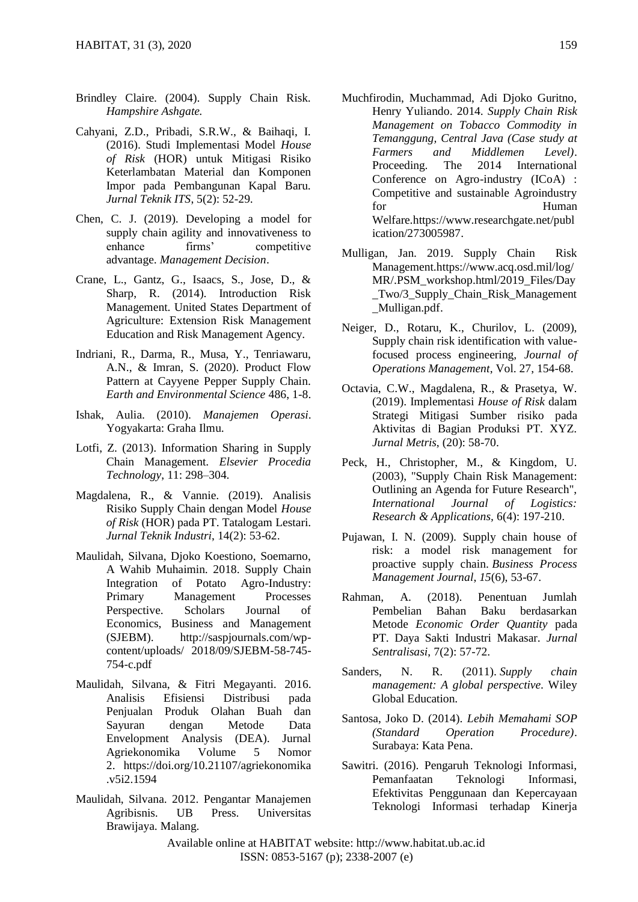- Brindley Claire. (2004). Supply Chain Risk. *Hampshire Ashgate.*
- Cahyani, Z.D., Pribadi, S.R.W., & Baihaqi, I. (2016). Studi Implementasi Model *House of Risk* (HOR) untuk Mitigasi Risiko Keterlambatan Material dan Komponen Impor pada Pembangunan Kapal Baru. *Jurnal Teknik ITS*, 5(2): 52-29.
- Chen, C. J. (2019). Developing a model for supply chain agility and innovativeness to enhance firms' competitive advantage. *Management Decision*.
- Crane, L., Gantz, G., Isaacs, S., Jose, D., & Sharp, R. (2014). Introduction Risk Management. United States Department of Agriculture: Extension Risk Management Education and Risk Management Agency.
- Indriani, R., Darma, R., Musa, Y., Tenriawaru, A.N., & Imran, S. (2020). Product Flow Pattern at Cayyene Pepper Supply Chain. *Earth and Environmental Science* 486, 1-8.
- Ishak, Aulia. (2010). *Manajemen Operasi*. Yogyakarta: Graha Ilmu.
- Lotfi, Z. (2013). Information Sharing in Supply Chain Management. *Elsevier Procedia Technology*, 11: 298–304.
- Magdalena, R., & Vannie. (2019). Analisis Risiko Supply Chain dengan Model *House of Risk* (HOR) pada PT. Tatalogam Lestari. *Jurnal Teknik Industri*, 14(2): 53-62.
- Maulidah, Silvana, Djoko Koestiono, Soemarno, A Wahib Muhaimin. 2018. Supply Chain Integration of Potato Agro-Industry: Primary Management Processes Perspective. Scholars Journal of Economics, Business and Management (SJEBM). [http://saspjournals.com/wp](http://saspjournals.com/wp-content/uploads/)[content/uploads/](http://saspjournals.com/wp-content/uploads/) 2018/09/SJEBM-58-745- 754-c.pdf
- Maulidah, Silvana, & Fitri Megayanti. 2016. Analisis Efisiensi Distribusi pada Penjualan Produk Olahan Buah dan Sayuran dengan Metode Data Envelopment Analysis (DEA). Jurnal Agriekonomika Volume 5 Nomor 2. [https://doi.org/10.21107/agriekonomika](https://doi.org/10.21107/agriekonomika.v5i2.1594) [.v5i2.1594](https://doi.org/10.21107/agriekonomika.v5i2.1594)
- Maulidah, Silvana. 2012. Pengantar Manajemen Agribisnis. UB Press. Universitas Brawijaya. Malang.
- Muchfirodin, Muchammad, Adi Djoko Guritno, Henry Yuliando. 2014*. Supply Chain Risk Management on Tobacco Commodity in Temanggung, Central Java (Case study at Farmers and Middlemen Level)*. Proceeding. The 2014 International Conference on Agro-industry (ICoA) : Competitive and sustainable Agroindustry for Human Welfare[.https://www.researchgate.net/publ](https://www.researchgate.net/publication/273005987) [ication/273005987.](https://www.researchgate.net/publication/273005987)
- Mulligan, Jan. 2019. Supply Chain Risk Management[.https://www.acq.osd.mil/log/](https://www.acq.osd.mil/log/MR/.PSM_workshop.html/2019_Files/Day_Two/3_Supply_Chain_Risk_Management_Mulligan.pdf) [MR/.PSM\\_workshop.html/2019\\_Files/Day](https://www.acq.osd.mil/log/MR/.PSM_workshop.html/2019_Files/Day_Two/3_Supply_Chain_Risk_Management_Mulligan.pdf) [\\_Two/3\\_Supply\\_Chain\\_Risk\\_Management](https://www.acq.osd.mil/log/MR/.PSM_workshop.html/2019_Files/Day_Two/3_Supply_Chain_Risk_Management_Mulligan.pdf) [\\_Mulligan.pdf.](https://www.acq.osd.mil/log/MR/.PSM_workshop.html/2019_Files/Day_Two/3_Supply_Chain_Risk_Management_Mulligan.pdf)
- Neiger, D., Rotaru, K., Churilov, L. (2009), Supply chain risk identification with valuefocused process engineering, *Journal of Operations Management*, Vol. 27, 154-68.
- Octavia, C.W., Magdalena, R., & Prasetya, W. (2019). Implementasi *House of Risk* dalam Strategi Mitigasi Sumber risiko pada Aktivitas di Bagian Produksi PT. XYZ. *Jurnal Metris*, (20): 58-70.
- Peck, H., Christopher, M., & Kingdom, U. (2003), "Supply Chain Risk Management: Outlining an Agenda for Future Research", *International Journal of Logistics: Research & Applications,* 6(4): 197-210.
- Pujawan, I. N. (2009). Supply chain house of risk: a model risk management for proactive supply chain. *Business Process Management Journal*, *15*(6), 53-67.
- Rahman, A. (2018). Penentuan Jumlah Pembelian Bahan Baku berdasarkan Metode *Economic Order Quantity* pada PT. Daya Sakti Industri Makasar. *Jurnal Sentralisasi*, 7(2): 57-72.
- Sanders, N. R. (2011). *Supply chain management: A global perspective*. Wiley Global Education.
- Santosa, Joko D. (2014). *Lebih Memahami SOP (Standard Operation Procedure)*. Surabaya: Kata Pena.
- Sawitri. (2016). Pengaruh Teknologi Informasi, Pemanfaatan Teknologi Informasi, Efektivitas Penggunaan dan Kepercayaan Teknologi Informasi terhadap Kinerja